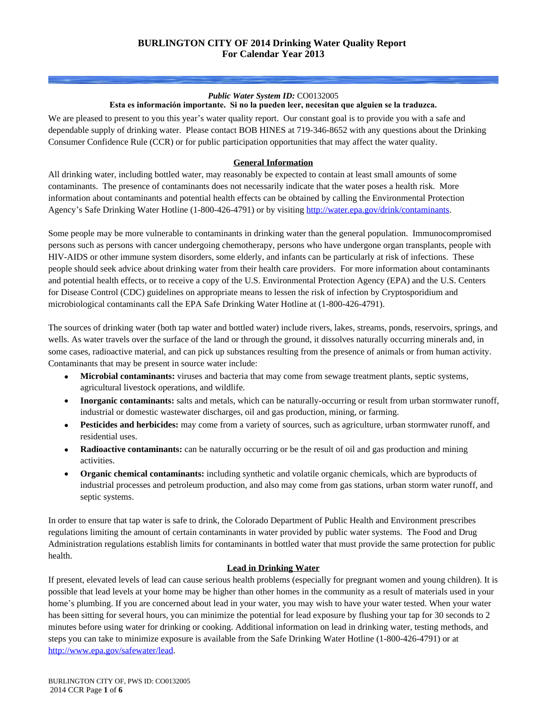#### *Public Water System ID:* CO0132005 **Esta es información importante. Si no la pueden leer, necesitan que alguien se la traduzca.**

We are pleased to present to you this year's water quality report. Our constant goal is to provide you with a safe and dependable supply of drinking water. Please contact BOB HINES at 719-346-8652 with any questions about the Drinking Consumer Confidence Rule (CCR) or for public participation opportunities that may affect the water quality.

### **General Information**

All drinking water, including bottled water, may reasonably be expected to contain at least small amounts of some contaminants. The presence of contaminants does not necessarily indicate that the water poses a health risk. More information about contaminants and potential health effects can be obtained by calling the Environmental Protection Agency's Safe Drinking Water Hotline (1-800-426-4791) or by visiting<http://water.epa.gov/drink/contaminants>.

Some people may be more vulnerable to contaminants in drinking water than the general population. Immunocompromised persons such as persons with cancer undergoing chemotherapy, persons who have undergone organ transplants, people with HIV-AIDS or other immune system disorders, some elderly, and infants can be particularly at risk of infections. These people should seek advice about drinking water from their health care providers. For more information about contaminants and potential health effects, or to receive a copy of the U.S. Environmental Protection Agency (EPA) and the U.S. Centers for Disease Control (CDC) guidelines on appropriate means to lessen the risk of infection by Cryptosporidium and microbiological contaminants call the EPA Safe Drinking Water Hotline at (1-800-426-4791).

The sources of drinking water (both tap water and bottled water) include rivers, lakes, streams, ponds, reservoirs, springs, and wells. As water travels over the surface of the land or through the ground, it dissolves naturally occurring minerals and, in some cases, radioactive material, and can pick up substances resulting from the presence of animals or from human activity. Contaminants that may be present in source water include:

- **Microbial contaminants:** viruses and bacteria that may come from sewage treatment plants, septic systems, agricultural livestock operations, and wildlife.
- **Inorganic contaminants:** salts and metals, which can be naturally-occurring or result from urban stormwater runoff, industrial or domestic wastewater discharges, oil and gas production, mining, or farming.
- **Pesticides and herbicides:** may come from a variety of sources, such as agriculture, urban stormwater runoff, and residential uses.
- **Radioactive contaminants:** can be naturally occurring or be the result of oil and gas production and mining activities.
- **Organic chemical contaminants:** including synthetic and volatile organic chemicals, which are byproducts of industrial processes and petroleum production, and also may come from gas stations, urban storm water runoff, and septic systems.

In order to ensure that tap water is safe to drink, the Colorado Department of Public Health and Environment prescribes regulations limiting the amount of certain contaminants in water provided by public water systems. The Food and Drug Administration regulations establish limits for contaminants in bottled water that must provide the same protection for public health.

#### **Lead in Drinking Water**

If present, elevated levels of lead can cause serious health problems (especially for pregnant women and young children). It is possible that lead levels at your home may be higher than other homes in the community as a result of materials used in your home's plumbing. If you are concerned about lead in your water, you may wish to have your water tested. When your water has been sitting for several hours, you can minimize the potential for lead exposure by flushing your tap for 30 seconds to 2 minutes before using water for drinking or cooking. Additional information on lead in drinking water, testing methods, and steps you can take to minimize exposure is available from the Safe Drinking Water Hotline (1-800-426-4791) or at [http://www.epa.gov/safewater/lead.](http://www.epa.gov/safewater/lead)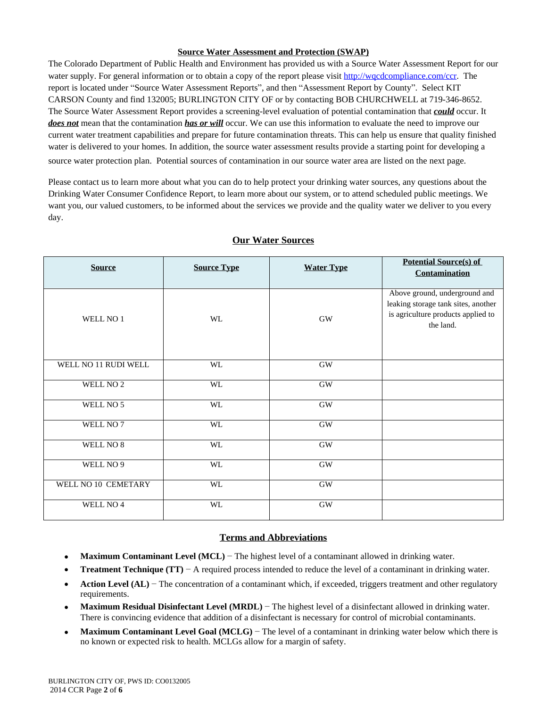#### **Source Water Assessment and Protection (SWAP)**

The Colorado Department of Public Health and Environment has provided us with a Source Water Assessment Report for our water supply. For general information or to obtain a copy of the report please visit<http://wqcdcompliance.com/ccr>. The report is located under "Source Water Assessment Reports", and then "Assessment Report by County". Select KIT CARSON County and find 132005; BURLINGTON CITY OF or by contacting BOB CHURCHWELL at 719-346-8652. The Source Water Assessment Report provides a screening-level evaluation of potential contamination that *could* occur. It *does not* mean that the contamination *has or will* occur. We can use this information to evaluate the need to improve our current water treatment capabilities and prepare for future contamination threats. This can help us ensure that quality finished water is delivered to your homes. In addition, the source water assessment results provide a starting point for developing a source water protection plan. Potential sources of contamination in our source water area are listed on the next page.

Please contact us to learn more about what you can do to help protect your drinking water sources, any questions about the Drinking Water Consumer Confidence Report, to learn more about our system, or to attend scheduled public meetings. We want you, our valued customers, to be informed about the services we provide and the quality water we deliver to you every day.

| <b>Source</b>        | <b>Source Type</b> | <b>Water Type</b> | <b>Potential Source(s) of</b><br><b>Contamination</b>                                                                   |
|----------------------|--------------------|-------------------|-------------------------------------------------------------------------------------------------------------------------|
| WELL NO 1            | <b>WL</b>          | <b>GW</b>         | Above ground, underground and<br>leaking storage tank sites, another<br>is agriculture products applied to<br>the land. |
| WELL NO 11 RUDI WELL | <b>WL</b>          | <b>GW</b>         |                                                                                                                         |
| WELL NO <sub>2</sub> | WL                 | $\rm GW$          |                                                                                                                         |
| WELL NO 5            | <b>WL</b>          | <b>GW</b>         |                                                                                                                         |
| WELL NO 7            | <b>WL</b>          | <b>GW</b>         |                                                                                                                         |
| WELL NO 8            | WL                 | GW                |                                                                                                                         |
| WELL NO 9            | WL                 | $\rm GW$          |                                                                                                                         |
| WELL NO 10 CEMETARY  | WL                 | $\rm GW$          |                                                                                                                         |
| WELL NO 4            | WL                 | $\rm GW$          |                                                                                                                         |

### **Our Water Sources**

### **Terms and Abbreviations**

- **Maximum Contaminant Level (MCL)** − The highest level of a contaminant allowed in drinking water.
- **Treatment Technique (TT)** − A required process intended to reduce the level of a contaminant in drinking water.
- **Action Level (AL)** − The concentration of a contaminant which, if exceeded, triggers treatment and other regulatory requirements.
- **Maximum Residual Disinfectant Level (MRDL)** − The highest level of a disinfectant allowed in drinking water. There is convincing evidence that addition of a disinfectant is necessary for control of microbial contaminants.
- **Maximum Contaminant Level Goal (MCLG)** − The level of a contaminant in drinking water below which there is no known or expected risk to health. MCLGs allow for a margin of safety.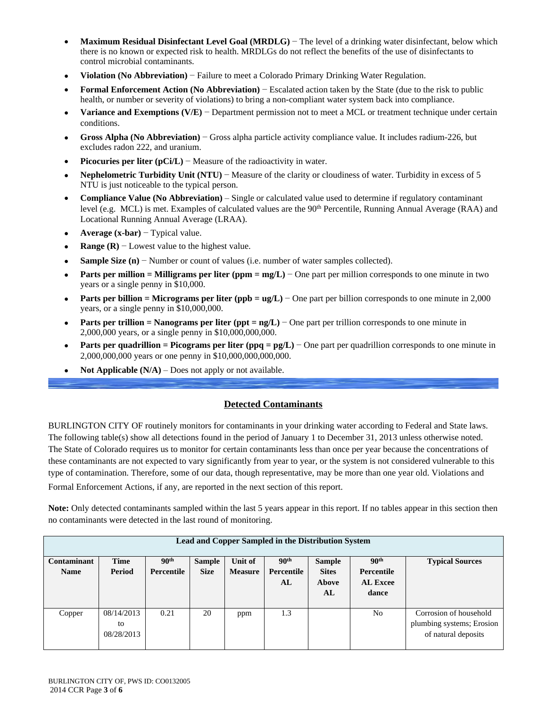- **Maximum Residual Disinfectant Level Goal (MRDLG)** − The level of a drinking water disinfectant, below which there is no known or expected risk to health. MRDLGs do not reflect the benefits of the use of disinfectants to control microbial contaminants.
- **Violation (No Abbreviation)** − Failure to meet a Colorado Primary Drinking Water Regulation.
- **Formal Enforcement Action (No Abbreviation)** − Escalated action taken by the State (due to the risk to public health, or number or severity of violations) to bring a non-compliant water system back into compliance.
- **Variance and Exemptions (V/E)** − Department permission not to meet a MCL or treatment technique under certain conditions.
- **Gross Alpha (No Abbreviation)** − Gross alpha particle activity compliance value. It includes radium-226, but excludes radon 222, and uranium.
- **Picocuries per liter (pCi/L)** − Measure of the radioactivity in water.
- **Nephelometric Turbidity Unit (NTU)** − Measure of the clarity or cloudiness of water. Turbidity in excess of 5 NTU is just noticeable to the typical person.
- **Compliance Value (No Abbreviation)** Single or calculated value used to determine if regulatory contaminant level (e.g. MCL) is met. Examples of calculated values are the 90<sup>th</sup> Percentile, Running Annual Average (RAA) and Locational Running Annual Average (LRAA).
- **Average (x-bar)** − Typical value.
- **Range (R)**  $-$  Lowest value to the highest value.
- Sample Size (n) − Number or count of values (i.e. number of water samples collected).
- **Parts per million = Milligrams per liter (ppm = mg/L)** − One part per million corresponds to one minute in two years or a single penny in \$10,000.
- **Parts per billion = Micrograms per liter (ppb = ug/L)** − One part per billion corresponds to one minute in 2,000 years, or a single penny in \$10,000,000.
- **Parts per trillion = Nanograms per liter (ppt = ng/L)** − One part per trillion corresponds to one minute in 2,000,000 years, or a single penny in \$10,000,000,000.
- **Parts per quadrillion = Picograms per liter (ppq = pg/L)** − One part per quadrillion corresponds to one minute in 2,000,000,000 years or one penny in \$10,000,000,000,000.
- **Not Applicable**  $(N/A)$  Does not apply or not available.

## **Detected Contaminants**

BURLINGTON CITY OF routinely monitors for contaminants in your drinking water according to Federal and State laws. The following table(s) show all detections found in the period of January 1 to December 31, 2013 unless otherwise noted. The State of Colorado requires us to monitor for certain contaminants less than once per year because the concentrations of these contaminants are not expected to vary significantly from year to year, or the system is not considered vulnerable to this type of contamination. Therefore, some of our data, though representative, may be more than one year old. Violations and Formal Enforcement Actions, if any, are reported in the next section of this report.

**Note:** Only detected contaminants sampled within the last 5 years appear in this report. If no tables appear in this section then no contaminants were detected in the last round of monitoring.

| <b>Lead and Copper Sampled in the Distribution System</b> |             |                  |               |                |                  |               |                  |                           |  |  |
|-----------------------------------------------------------|-------------|------------------|---------------|----------------|------------------|---------------|------------------|---------------------------|--|--|
| Contaminant                                               | <b>Time</b> | 90 <sup>th</sup> | <b>Sample</b> | Unit of        | 90 <sup>th</sup> | <b>Sample</b> | 90 <sup>th</sup> | <b>Typical Sources</b>    |  |  |
| <b>Name</b>                                               | Period      | Percentile       | <b>Size</b>   | <b>Measure</b> | Percentile       | <b>Sites</b>  | Percentile       |                           |  |  |
|                                                           |             |                  |               |                | AL               | Above         | <b>AL Excee</b>  |                           |  |  |
|                                                           |             |                  |               |                |                  | AL            | dance            |                           |  |  |
|                                                           |             |                  |               |                |                  |               |                  |                           |  |  |
| Copper                                                    | 08/14/2013  | 0.21             | 20            | ppm            | 1.3              |               | No               | Corrosion of household    |  |  |
|                                                           | to          |                  |               |                |                  |               |                  | plumbing systems; Erosion |  |  |
|                                                           | 08/28/2013  |                  |               |                |                  |               |                  | of natural deposits       |  |  |
|                                                           |             |                  |               |                |                  |               |                  |                           |  |  |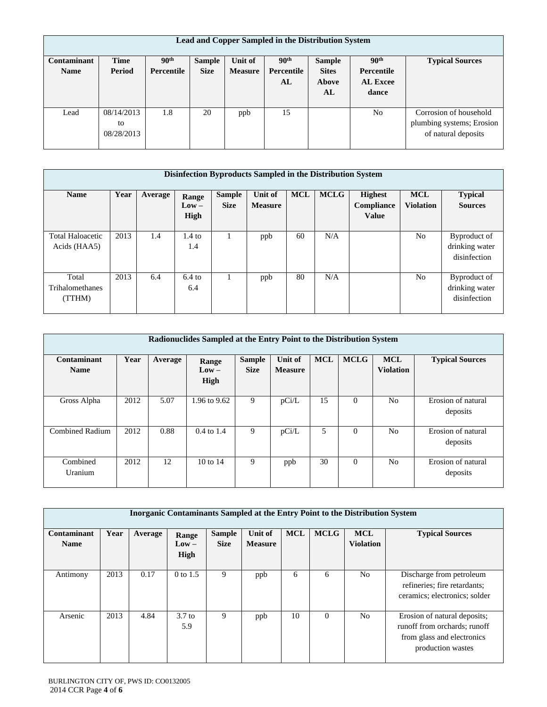| Lead and Copper Sampled in the Distribution System |             |                  |               |                |                  |               |                  |                           |  |  |
|----------------------------------------------------|-------------|------------------|---------------|----------------|------------------|---------------|------------------|---------------------------|--|--|
| Contaminant                                        | <b>Time</b> | 90 <sup>th</sup> | <b>Sample</b> | Unit of        | 90 <sup>th</sup> | <b>Sample</b> | 90 <sup>th</sup> | <b>Typical Sources</b>    |  |  |
| <b>Name</b>                                        | Period      | Percentile       | <b>Size</b>   | <b>Measure</b> | Percentile       | <b>Sites</b>  | Percentile       |                           |  |  |
|                                                    |             |                  |               |                | AL               | Above         | <b>AL Excee</b>  |                           |  |  |
|                                                    |             |                  |               |                |                  | AL            | dance            |                           |  |  |
|                                                    |             |                  |               |                |                  |               |                  |                           |  |  |
| Lead                                               | 08/14/2013  | 1.8              | 20            | ppb            | 15               |               | No               | Corrosion of household    |  |  |
|                                                    | to          |                  |               |                |                  |               |                  | plumbing systems; Erosion |  |  |
|                                                    | 08/28/2013  |                  |               |                |                  |               |                  | of natural deposits       |  |  |
|                                                    |             |                  |               |                |                  |               |                  |                           |  |  |

| Disinfection Byproducts Sampled in the Distribution System |      |         |                          |                              |                           |            |             |                                              |                                |                                                |
|------------------------------------------------------------|------|---------|--------------------------|------------------------------|---------------------------|------------|-------------|----------------------------------------------|--------------------------------|------------------------------------------------|
| <b>Name</b>                                                | Year | Average | Range<br>$Low -$<br>High | <b>Sample</b><br><b>Size</b> | Unit of<br><b>Measure</b> | <b>MCL</b> | <b>MCLG</b> | <b>Highest</b><br>Compliance<br><b>Value</b> | <b>MCL</b><br><b>Violation</b> | <b>Typical</b><br><b>Sources</b>               |
| <b>Total Haloacetic</b><br>Acids (HAA5)                    | 2013 | 1.4     | $1.4 \text{ to}$<br>1.4  | 1                            | ppb                       | 60         | N/A         |                                              | No.                            | Byproduct of<br>drinking water<br>disinfection |
| Total<br>Trihalomethanes<br>(TTHM)                         | 2013 | 6.4     | $6.4$ to<br>6.4          | 1                            | ppb                       | 80         | N/A         |                                              | N <sub>0</sub>                 | Byproduct of<br>drinking water<br>disinfection |

| Radionuclides Sampled at the Entry Point to the Distribution System |      |         |                          |                              |                           |            |             |                                |                                |  |  |
|---------------------------------------------------------------------|------|---------|--------------------------|------------------------------|---------------------------|------------|-------------|--------------------------------|--------------------------------|--|--|
| Contaminant<br><b>Name</b>                                          | Year | Average | Range<br>$Low -$<br>High | <b>Sample</b><br><b>Size</b> | Unit of<br><b>Measure</b> | <b>MCL</b> | <b>MCLG</b> | <b>MCL</b><br><b>Violation</b> | <b>Typical Sources</b>         |  |  |
| Gross Alpha                                                         | 2012 | 5.07    | 1.96 to 9.62             | 9                            | pCi/L                     | 15         | $\Omega$    | N <sub>0</sub>                 | Erosion of natural<br>deposits |  |  |
| <b>Combined Radium</b>                                              | 2012 | 0.88    | $0.4 \text{ to } 1.4$    | 9                            | pCi/L                     | 5          | $\theta$    | N <sub>0</sub>                 | Erosion of natural<br>deposits |  |  |
| Combined<br>Uranium                                                 | 2012 | 12      | $10$ to $14$             | 9                            | ppb                       | 30         | $\Omega$    | No                             | Erosion of natural<br>deposits |  |  |

|                            | <b>Inorganic Contaminants Sampled at the Entry Point to the Distribution System</b> |         |                                |                              |                           |            |             |                                |                                                                                                                 |  |  |
|----------------------------|-------------------------------------------------------------------------------------|---------|--------------------------------|------------------------------|---------------------------|------------|-------------|--------------------------------|-----------------------------------------------------------------------------------------------------------------|--|--|
| Contaminant<br><b>Name</b> | Year                                                                                | Average | Range<br>$_{\rm Low-}$<br>High | <b>Sample</b><br><b>Size</b> | Unit of<br><b>Measure</b> | <b>MCL</b> | <b>MCLG</b> | <b>MCL</b><br><b>Violation</b> | <b>Typical Sources</b>                                                                                          |  |  |
| Antimony                   | 2013                                                                                | 0.17    | 0 to 1.5                       | 9                            | ppb                       | 6          | 6           | No                             | Discharge from petroleum<br>refineries; fire retardants;<br>ceramics; electronics; solder                       |  |  |
| Arsenic                    | 2013                                                                                | 4.84    | 3.7 <sub>to</sub><br>5.9       | 9                            | ppb                       | 10         | $\Omega$    | No                             | Erosion of natural deposits;<br>runoff from orchards; runoff<br>from glass and electronics<br>production wastes |  |  |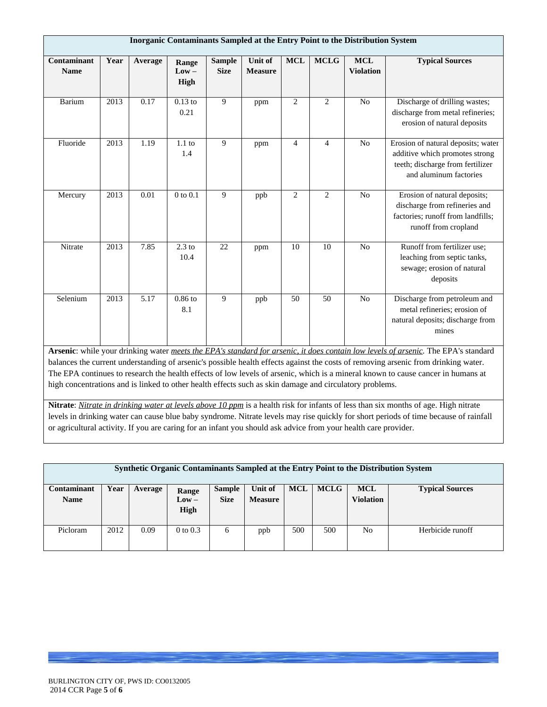|                                   | Inorganic Contaminants Sampled at the Entry Point to the Distribution System                                                                                                                                                                                                                                                                                                                                                                                                                                            |                   |                          |                              |                           |                |                |                                |                                                                                                                                    |  |
|-----------------------------------|-------------------------------------------------------------------------------------------------------------------------------------------------------------------------------------------------------------------------------------------------------------------------------------------------------------------------------------------------------------------------------------------------------------------------------------------------------------------------------------------------------------------------|-------------------|--------------------------|------------------------------|---------------------------|----------------|----------------|--------------------------------|------------------------------------------------------------------------------------------------------------------------------------|--|
| <b>Contaminant</b><br><b>Name</b> | Year                                                                                                                                                                                                                                                                                                                                                                                                                                                                                                                    | Average           | Range<br>$Low -$<br>High | <b>Sample</b><br><b>Size</b> | Unit of<br><b>Measure</b> | <b>MCL</b>     | <b>MCLG</b>    | <b>MCL</b><br><b>Violation</b> | <b>Typical Sources</b>                                                                                                             |  |
| Barium                            | $\overline{2013}$                                                                                                                                                                                                                                                                                                                                                                                                                                                                                                       | 0.17              | $0.13$ to<br>0.21        | 9                            | ppm                       | $\overline{c}$ | $\overline{2}$ | No                             | Discharge of drilling wastes;<br>discharge from metal refineries;<br>erosion of natural deposits                                   |  |
| Fluoride                          | 2013                                                                                                                                                                                                                                                                                                                                                                                                                                                                                                                    | 1.19              | $1.1$ to<br>1.4          | 9                            | ppm                       | $\overline{4}$ | $\overline{4}$ | N <sub>o</sub>                 | Erosion of natural deposits; water<br>additive which promotes strong<br>teeth; discharge from fertilizer<br>and aluminum factories |  |
| Mercury                           | 2013                                                                                                                                                                                                                                                                                                                                                                                                                                                                                                                    | 0.01              | $0$ to $0.1$             | 9                            | ppb                       | $\overline{2}$ | $\overline{2}$ | No                             | Erosion of natural deposits;<br>discharge from refineries and<br>factories; runoff from landfills;<br>runoff from cropland         |  |
| Nitrate                           | 2013                                                                                                                                                                                                                                                                                                                                                                                                                                                                                                                    | 7.85              | $2.3$ to<br>10.4         | 22                           | ppm                       | 10             | 10             | N <sub>o</sub>                 | Runoff from fertilizer use;<br>leaching from septic tanks,<br>sewage; erosion of natural<br>deposits                               |  |
| Selenium                          | $\overline{2013}$                                                                                                                                                                                                                                                                                                                                                                                                                                                                                                       | $\overline{5.17}$ | $0.86$ to<br>8.1         | 9                            | ppb                       | 50             | 50             | No                             | Discharge from petroleum and<br>metal refineries; erosion of<br>natural deposits; discharge from<br>mines                          |  |
|                                   | Arsenic: while your drinking water meets the EPA's standard for arsenic, it does contain low levels of arsenic. The EPA's standard<br>balances the current understanding of arsenic's possible health effects against the costs of removing arsenic from drinking water.<br>The EPA continues to research the health effects of low levels of arsenic, which is a mineral known to cause cancer in humans at<br>high concentrations and is linked to other health effects such as skin damage and circulatory problems. |                   |                          |                              |                           |                |                |                                |                                                                                                                                    |  |

**Nitrate**: *Nitrate in drinking water at levels above 10 ppm* is a health risk for infants of less than six months of age. High nitrate levels in drinking water can cause blue baby syndrome. Nitrate levels may rise quickly for short periods of time because of rainfall or agricultural activity. If you are caring for an infant you should ask advice from your health care provider.

|                            | Synthetic Organic Contaminants Sampled at the Entry Point to the Distribution System |         |                                 |                              |                           |            |             |                                |                        |  |
|----------------------------|--------------------------------------------------------------------------------------|---------|---------------------------------|------------------------------|---------------------------|------------|-------------|--------------------------------|------------------------|--|
| Contaminant<br><b>Name</b> | Year                                                                                 | Average | Range<br>$Low -$<br><b>High</b> | <b>Sample</b><br><b>Size</b> | Unit of<br><b>Measure</b> | <b>MCL</b> | <b>MCLG</b> | <b>MCL</b><br><b>Violation</b> | <b>Typical Sources</b> |  |
| Picloram                   | 2012                                                                                 | 0.09    | $0$ to $0.3$                    | 6                            | ppb                       | 500        | 500         | No                             | Herbicide runoff       |  |